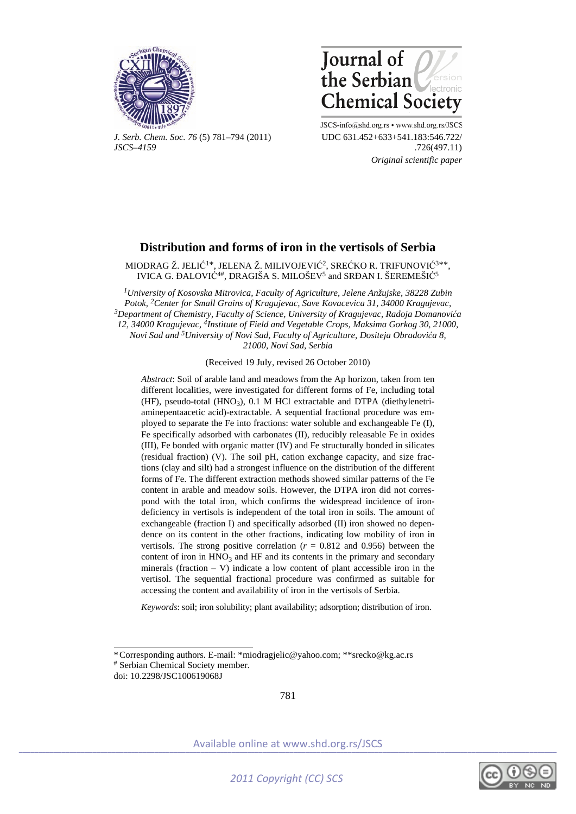



*J. Serb. Chem. Soc. 76* (5) 781–794 (2011) UDC 631.452+633+541.183:546.722/ *JSCS–4159* .726(497.11)

JSCS-info@shd.org.rs • www.shd.org.rs/JSCS  *Original scientific paper* 

# **Distribution and forms of iron in the vertisols of Serbia**

MIODRAG Ž. JELIĆ<sup>1\*</sup>, JELENA Ž. MILIVOJEVIĆ<sup>2</sup>, SREĆKO R. TRIFUNOVIĆ<sup>3\*\*</sup> IVICA G. ĐALOVIĆ4#, DRAGIŠA S. MILOŠEV5 and SRĐAN I. ŠEREMEŠIĆ<sup>5</sup>

*1University of Kosovska Mitrovica, Faculty of Agriculture, Jelene Anžujske, 38228 Zubin Potok, 2Center for Small Grains of Kragujevac, Save Kovacevica 31, 34000 Kragujevac, 3Department of Chemistry, Faculty of Science, University of Kragujevac, Radoja Domanovića 12, 34000 Kragujevac, 4Institute of Field and Vegetable Crops, Maksima Gorkog 30, 21000, Novi Sad and 5University of Novi Sad, Faculty of Agriculture, Dositeja Obradovića 8, 21000, Novi Sad, Serbia* 

(Received 19 July, revised 26 October 2010)

*Abstract*: Soil of arable land and meadows from the Ap horizon, taken from ten different localities, were investigated for different forms of Fe, including total (HF), pseudo-total (HNO<sub>3</sub>), 0.1 M HCl extractable and DTPA (diethylenetriaminepentaacetic acid)-extractable. A sequential fractional procedure was employed to separate the Fe into fractions: water soluble and exchangeable Fe (I), Fe specifically adsorbed with carbonates (II), reducibly releasable Fe in oxides (III), Fe bonded with organic matter (IV) and Fe structurally bonded in silicates (residual fraction) (V). The soil pH, cation exchange capacity, and size fractions (clay and silt) had a strongest influence on the distribution of the different forms of Fe. The different extraction methods showed similar patterns of the Fe content in arable and meadow soils. However, the DTPA iron did not correspond with the total iron, which confirms the widespread incidence of irondeficiency in vertisols is independent of the total iron in soils. The amount of exchangeable (fraction I) and specifically adsorbed (II) iron showed no dependence on its content in the other fractions, indicating low mobility of iron in vertisols. The strong positive correlation ( $r = 0.812$  and 0.956) between the content of iron in  $HNO<sub>3</sub>$  and HF and its contents in the primary and secondary minerals (fraction  $-$  V) indicate a low content of plant accessible iron in the vertisol. The sequential fractional procedure was confirmed as suitable for accessing the content and availability of iron in the vertisols of Serbia.

*Keywords*: soil; iron solubility; plant availability; adsorption; distribution of iron.

doi: 10.2298/JSC100619068J

í

781



<sup>\*</sup> Corresponding authors. E-mail: \*miodragjelic@yahoo.com; \*\*srecko@kg.ac.rs # Serbian Chemical Society member.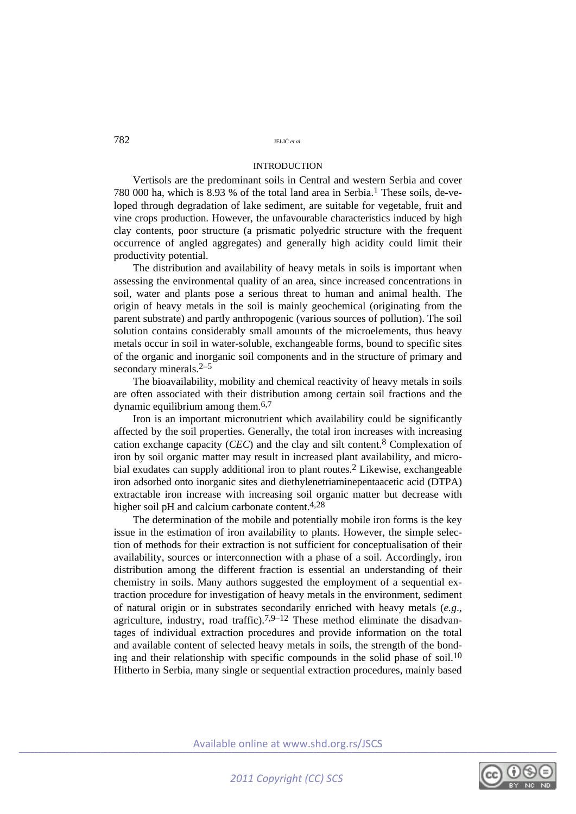## INTRODUCTION

Vertisols are the predominant soils in Central and western Serbia and cover 780 000 ha, which is 8.93 % of the total land area in Serbia.1 These soils, de-veloped through degradation of lake sediment, are suitable for vegetable, fruit and vine crops production. However, the unfavourable characteristics induced by high clay contents, poor structure (a prismatic polyedric structure with the frequent occurrence of angled aggregates) and generally high acidity could limit their productivity potential.

The distribution and availability of heavy metals in soils is important when assessing the environmental quality of an area, since increased concentrations in soil, water and plants pose a serious threat to human and animal health. The origin of heavy metals in the soil is mainly geochemical (originating from the parent substrate) and partly anthropogenic (various sources of pollution). The soil solution contains considerably small amounts of the microelements, thus heavy metals occur in soil in water-soluble, exchangeable forms, bound to specific sites of the organic and inorganic soil components and in the structure of primary and secondary minerals.<sup>2–5</sup>

The bioavailability, mobility and chemical reactivity of heavy metals in soils are often associated with their distribution among certain soil fractions and the dynamic equilibrium among them.6,7

Iron is an important micronutrient which availability could be significantly affected by the soil properties. Generally, the total iron increases with increasing cation exchange capacity (*CEC*) and the clay and silt content.8 Complexation of iron by soil organic matter may result in increased plant availability, and microbial exudates can supply additional iron to plant routes.2 Likewise, exchangeable iron adsorbed onto inorganic sites and diethylenetriaminepentaacetic acid (DTPA) extractable iron increase with increasing soil organic matter but decrease with higher soil pH and calcium carbonate content.<sup>4,28</sup>

The determination of the mobile and potentially mobile iron forms is the key issue in the estimation of iron availability to plants. However, the simple selection of methods for their extraction is not sufficient for conceptualisation of their availability, sources or interconnection with a phase of a soil. Accordingly, iron distribution among the different fraction is essential an understanding of their chemistry in soils. Many authors suggested the employment of a sequential extraction procedure for investigation of heavy metals in the environment, sediment of natural origin or in substrates secondarily enriched with heavy metals (*e.g*., agriculture, industry, road traffic).<sup>7,9–12</sup> These method eliminate the disadvantages of individual extraction procedures and provide information on the total and available content of selected heavy metals in soils, the strength of the bonding and their relationship with specific compounds in the solid phase of soil.<sup>10</sup> Hitherto in Serbia, many single or sequential extraction procedures, mainly based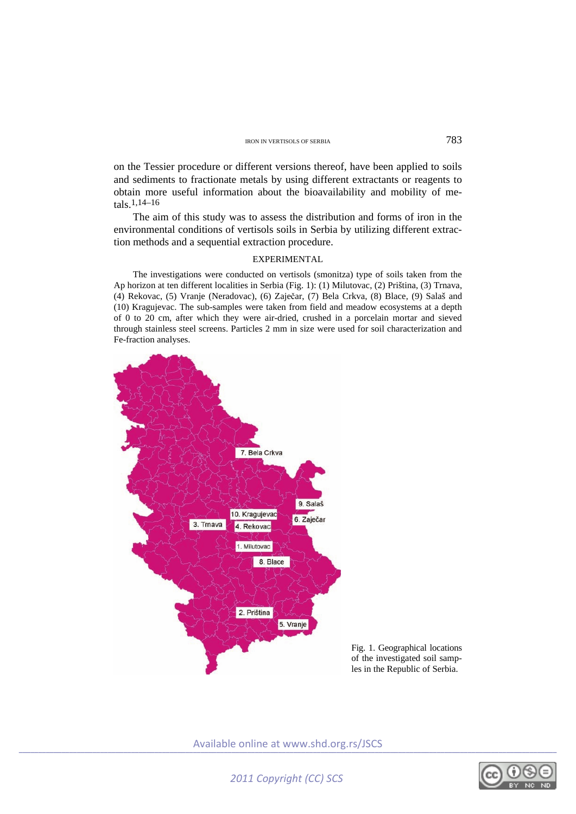on the Tessier procedure or different versions thereof, have been applied to soils and sediments to fractionate metals by using different extractants or reagents to obtain more useful information about the bioavailability and mobility of metals.1,14–16

The aim of this study was to assess the distribution and forms of iron in the environmental conditions of vertisols soils in Serbia by utilizing different extraction methods and a sequential extraction procedure.

## EXPERIMENTAL

The investigations were conducted on vertisols (smonitza) type of soils taken from the Ap horizon at ten different localities in Serbia (Fig. 1): (1) Milutovac, (2) Priština, (3) Trnava, (4) Rekovac, (5) Vranje (Neradovac), (6) Zaječar, (7) Bela Crkva, (8) Blace, (9) Salaš and (10) Kragujevac. The sub-samples were taken from field and meadow ecosystems at a depth of 0 to 20 cm, after which they were air-dried, crushed in a porcelain mortar and sieved through stainless steel screens. Particles 2 mm in size were used for soil characterization and Fe-fraction analyses.



Fig. 1. Geographical locations of the investigated soil samples in the Republic of Serbia.

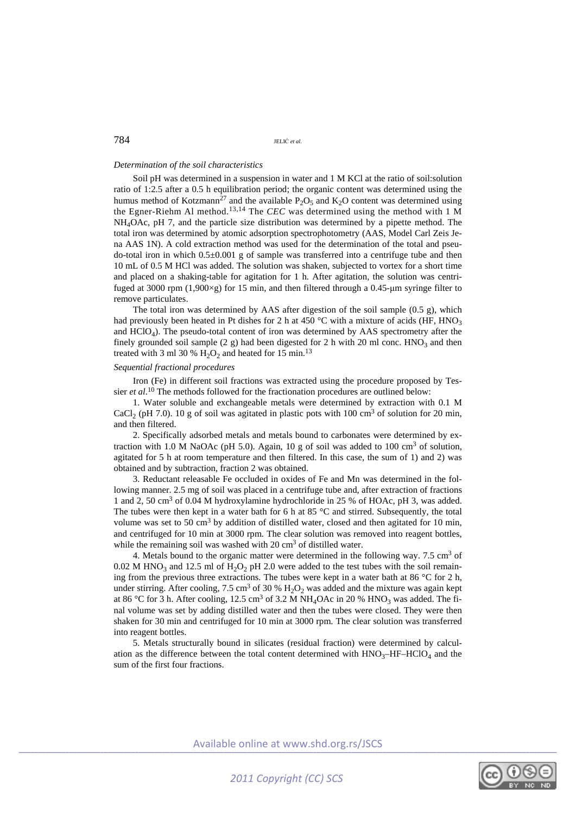## *Determination of the soil characteristics*

Soil pH was determined in a suspension in water and 1 M KCl at the ratio of soil:solution ratio of 1:2.5 after a 0.5 h equilibration period; the organic content was determined using the humus method of Kotzmann<sup>27</sup> and the available P<sub>2</sub>O<sub>5</sub> and K<sub>2</sub>O content was determined using the Egner-Riehm Al method.13,14 The *CEC* was determined using the method with 1 M NH4OAc, pH 7, and the particle size distribution was determined by a pipette method. The total iron was determined by atomic adsorption spectrophotometry (AAS, Model Carl Zeis Jena AAS 1N). A cold extraction method was used for the determination of the total and pseudo-total iron in which  $0.5\pm0.001$  g of sample was transferred into a centrifuge tube and then 10 mL of 0.5 M HCl was added. The solution was shaken, subjected to vortex for a short time and placed on a shaking-table for agitation for 1 h. After agitation, the solution was centrifuged at 3000 rpm  $(1.900\times g)$  for 15 min, and then filtered through a 0.45-um syringe filter to remove particulates.

The total iron was determined by AAS after digestion of the soil sample (0.5 g), which had previously been heated in Pt dishes for 2 h at 450  $^{\circ}$ C with a mixture of acids (HF, HNO<sub>3</sub>) and  $HCIO<sub>4</sub>$ ). The pseudo-total content of iron was determined by AAS spectrometry after the finely grounded soil sample (2 g) had been digested for 2 h with 20 ml conc.  $HNO<sub>3</sub>$  and then treated with 3 ml 30 %  $H_2O_2$  and heated for 15 min.<sup>13</sup>

## *Sequential fractional procedures*

Iron (Fe) in different soil fractions was extracted using the procedure proposed by Tessier *et al*. 10 The methods followed for the fractionation procedures are outlined below:

1. Water soluble and exchangeable metals were determined by extraction with 0.1 M CaCl<sub>2</sub> (pH 7.0). 10 g of soil was agitated in plastic pots with 100 cm<sup>3</sup> of solution for 20 min, and then filtered.

2. Specifically adsorbed metals and metals bound to carbonates were determined by extraction with 1.0 M NaOAc (pH 5.0). Again, 10 g of soil was added to 100 cm<sup>3</sup> of solution, agitated for 5 h at room temperature and then filtered. In this case, the sum of 1) and 2) was obtained and by subtraction, fraction 2 was obtained.

3. Reductant releasable Fe occluded in oxides of Fe and Mn was determined in the following manner. 2.5 mg of soil was placed in a centrifuge tube and, after extraction of fractions 1 and 2, 50 cm3 of 0.04 M hydroxylamine hydrochloride in 25 % of HOAc, pH 3, was added. The tubes were then kept in a water bath for 6 h at 85 °C and stirred. Subsequently, the total volume was set to 50 cm<sup>3</sup> by addition of distilled water, closed and then agitated for 10 min, and centrifuged for 10 min at 3000 rpm. The clear solution was removed into reagent bottles, while the remaining soil was washed with 20 cm<sup>3</sup> of distilled water.

4. Metals bound to the organic matter were determined in the following way. 7.5 cm<sup>3</sup> of  $0.02$  M HNO<sub>3</sub> and 12.5 ml of H<sub>2</sub>O<sub>2</sub> pH 2.0 were added to the test tubes with the soil remaining from the previous three extractions. The tubes were kept in a water bath at 86 °C for 2 h, under stirring. After cooling,  $7.5 \text{ cm}^3$  of  $30 \%$  H<sub>2</sub>O<sub>2</sub> was added and the mixture was again kept at 86 °C for 3 h. After cooling, 12.5 cm<sup>3</sup> of 3.2 M NH<sub>4</sub>OAc in 20 % HNO<sub>3</sub> was added. The final volume was set by adding distilled water and then the tubes were closed. They were then shaken for 30 min and centrifuged for 10 min at 3000 rpm. The clear solution was transferred into reagent bottles.

5. Metals structurally bound in silicates (residual fraction) were determined by calculation as the difference between the total content determined with  $HNO<sub>3</sub>–HF–HCIO<sub>4</sub>$  and the sum of the first four fractions.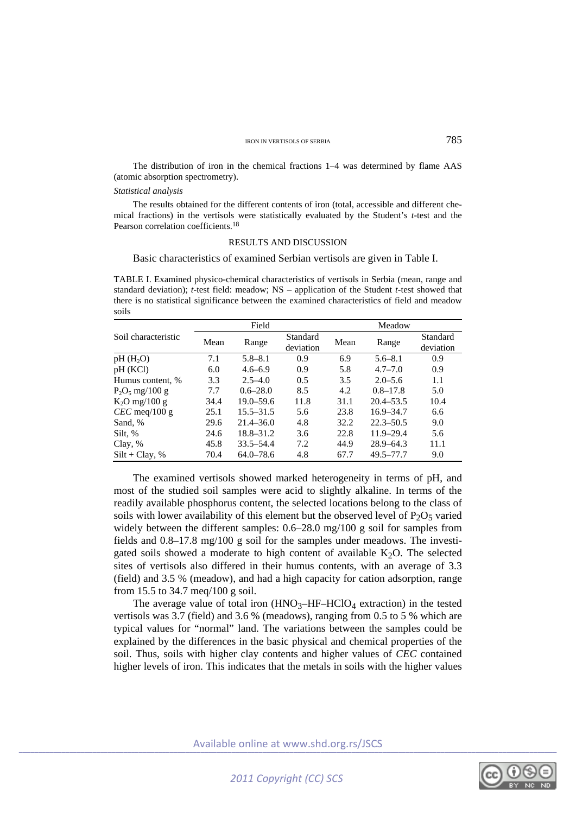The distribution of iron in the chemical fractions 1–4 was determined by flame AAS (atomic absorption spectrometry).

## *Statistical analysis*

The results obtained for the different contents of iron (total, accessible and different chemical fractions) in the vertisols were statistically evaluated by the Student's *t*-test and the Pearson correlation coefficients.<sup>18</sup>

## RESULTS AND DISCUSSION

## Basic characteristics of examined Serbian vertisols are given in Table I.

TABLE I. Examined physico-chemical characteristics of vertisols in Serbia (mean, range and standard deviation); *t*-test field: meadow; NS – application of the Student *t*-test showed that there is no statistical significance between the examined characteristics of field and meadow soils

|                     |      | Field         |                       |      | Meadow        |                       |  |
|---------------------|------|---------------|-----------------------|------|---------------|-----------------------|--|
| Soil characteristic | Mean | Range         | Standard<br>deviation | Mean | Range         | Standard<br>deviation |  |
| $pH(H_2O)$          | 7.1  | $5.8 - 8.1$   | 0.9                   | 6.9  | $5.6 - 8.1$   | 0.9                   |  |
| pH (KCl)            | 6.0  | $4.6 - 6.9$   | 0.9                   | 5.8  | $4.7 - 7.0$   | 0.9                   |  |
| Humus content, %    | 3.3  | $2.5 - 4.0$   | 0.5                   | 3.5  | $2.0 - 5.6$   | 1.1                   |  |
| $P_2O_5$ mg/100 g   | 7.7  | $0.6 - 28.0$  | 8.5                   | 4.2  | $0.8 - 17.8$  | 5.0                   |  |
| $K_2$ O mg/100 g    | 34.4 | $19.0 - 59.6$ | 11.8                  | 31.1 | $20.4 - 53.5$ | 10.4                  |  |
| $CEC$ meq/100 g     | 25.1 | $15.5 - 31.5$ | 5.6                   | 23.8 | $16.9 - 34.7$ | 6.6                   |  |
| Sand, %             | 29.6 | $21.4 - 36.0$ | 4.8                   | 32.2 | $22.3 - 50.5$ | 9.0                   |  |
| Silt, %             | 24.6 | $18.8 - 31.2$ | 3.6                   | 22.8 | $11.9 - 29.4$ | 5.6                   |  |
| Clay, %             | 45.8 | $33.5 - 54.4$ | 7.2                   | 44.9 | $28.9 - 64.3$ | 11.1                  |  |
| $Silt + Clav, %$    | 70.4 | $64.0 - 78.6$ | 4.8                   | 67.7 | $49.5 - 77.7$ | 9.0                   |  |

The examined vertisols showed marked heterogeneity in terms of pH, and most of the studied soil samples were acid to slightly alkaline. In terms of the readily available phosphorus content, the selected locations belong to the class of soils with lower availability of this element but the observed level of  $P_2O_5$  varied widely between the different samples: 0.6–28.0 mg/100 g soil for samples from fields and 0.8–17.8 mg/100 g soil for the samples under meadows. The investigated soils showed a moderate to high content of available  $K<sub>2</sub>O$ . The selected sites of vertisols also differed in their humus contents, with an average of 3.3 (field) and 3.5 % (meadow), and had a high capacity for cation adsorption, range from 15.5 to 34.7 meq/100 g soil.

The average value of total iron  $(HNO<sub>3</sub>-HF-HClO<sub>4</sub>$  extraction) in the tested vertisols was 3.7 (field) and 3.6 % (meadows), ranging from 0.5 to 5 % which are typical values for "normal" land. The variations between the samples could be explained by the differences in the basic physical and chemical properties of the soil. Thus, soils with higher clay contents and higher values of *CEC* contained higher levels of iron. This indicates that the metals in soils with the higher values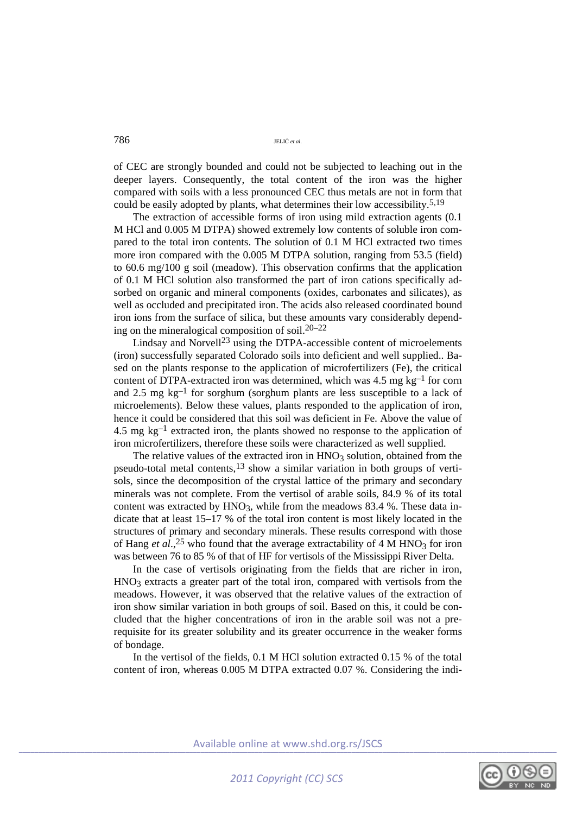of CEC are strongly bounded and could not be subjected to leaching out in the deeper layers. Consequently, the total content of the iron was the higher compared with soils with a less pronounced CEC thus metals are not in form that could be easily adopted by plants, what determines their low accessibility.5,19

The extraction of accessible forms of iron using mild extraction agents (0.1 M HCl and 0.005 M DTPA) showed extremely low contents of soluble iron compared to the total iron contents. The solution of 0.1 M HCl extracted two times more iron compared with the 0.005 M DTPA solution, ranging from 53.5 (field) to 60.6 mg/100 g soil (meadow). This observation confirms that the application of 0.1 M HCl solution also transformed the part of iron cations specifically adsorbed on organic and mineral components (oxides, carbonates and silicates), as well as occluded and precipitated iron. The acids also released coordinated bound iron ions from the surface of silica, but these amounts vary considerably depending on the mineralogical composition of soil.20–22

Lindsay and Norvell<sup>23</sup> using the DTPA-accessible content of microelements (iron) successfully separated Colorado soils into deficient and well supplied.. Based on the plants response to the application of microfertilizers (Fe), the critical content of DTPA-extracted iron was determined, which was  $4.5 \text{ mg kg}^{-1}$  for corn and 2.5 mg  $kg^{-1}$  for sorghum (sorghum plants are less susceptible to a lack of microelements). Below these values, plants responded to the application of iron, hence it could be considered that this soil was deficient in Fe. Above the value of 4.5 mg  $kg^{-1}$  extracted iron, the plants showed no response to the application of iron microfertilizers, therefore these soils were characterized as well supplied.

The relative values of the extracted iron in  $HNO<sub>3</sub>$  solution, obtained from the pseudo-total metal contents,13 show a similar variation in both groups of vertisols, since the decomposition of the crystal lattice of the primary and secondary minerals was not complete. From the vertisol of arable soils, 84.9 % of its total content was extracted by  $HNO<sub>3</sub>$ , while from the meadows 83.4 %. These data indicate that at least 15–17 % of the total iron content is most likely located in the structures of primary and secondary minerals. These results correspond with those of Hang *et al.*,<sup>25</sup> who found that the average extractability of 4 M HNO<sub>3</sub> for iron was between 76 to 85 % of that of HF for vertisols of the Mississippi River Delta.

In the case of vertisols originating from the fields that are richer in iron,  $HNO<sub>3</sub>$  extracts a greater part of the total iron, compared with vertisols from the meadows. However, it was observed that the relative values of the extraction of iron show similar variation in both groups of soil. Based on this, it could be concluded that the higher concentrations of iron in the arable soil was not a prerequisite for its greater solubility and its greater occurrence in the weaker forms of bondage.

In the vertisol of the fields, 0.1 M HCl solution extracted 0.15 % of the total content of iron, whereas 0.005 M DTPA extracted 0.07 %. Considering the indi-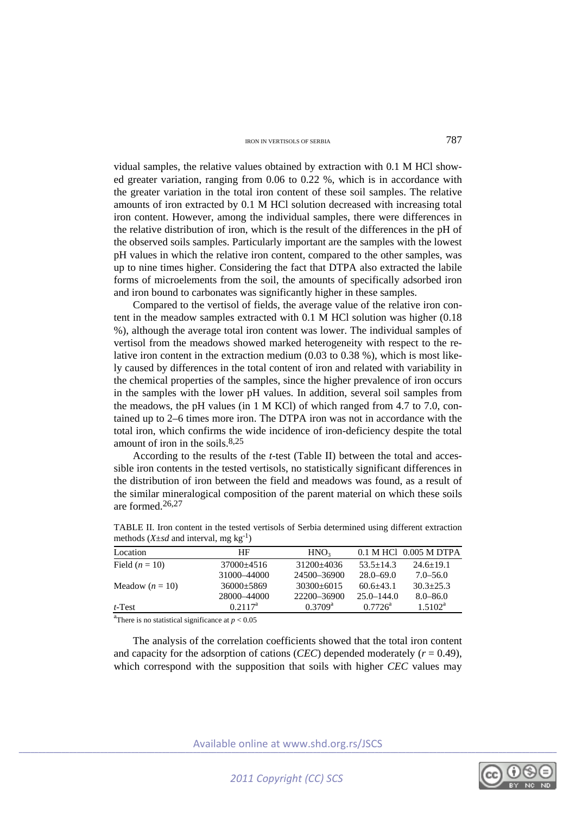vidual samples, the relative values obtained by extraction with 0.1 M HCl showed greater variation, ranging from 0.06 to 0.22 %, which is in accordance with the greater variation in the total iron content of these soil samples. The relative amounts of iron extracted by 0.1 M HCl solution decreased with increasing total iron content. However, among the individual samples, there were differences in the relative distribution of iron, which is the result of the differences in the pH of the observed soils samples. Particularly important are the samples with the lowest pH values in which the relative iron content, compared to the other samples, was up to nine times higher. Considering the fact that DTPA also extracted the labile forms of microelements from the soil, the amounts of specifically adsorbed iron and iron bound to carbonates was significantly higher in these samples.

Compared to the vertisol of fields, the average value of the relative iron content in the meadow samples extracted with 0.1 M HCl solution was higher (0.18 %), although the average total iron content was lower. The individual samples of vertisol from the meadows showed marked heterogeneity with respect to the relative iron content in the extraction medium  $(0.03 \text{ to } 0.38 \text{ %})$ , which is most likely caused by differences in the total content of iron and related with variability in the chemical properties of the samples, since the higher prevalence of iron occurs in the samples with the lower pH values. In addition, several soil samples from the meadows, the pH values (in 1 M KCl) of which ranged from 4.7 to 7.0, contained up to 2–6 times more iron. The DTPA iron was not in accordance with the total iron, which confirms the wide incidence of iron-deficiency despite the total amount of iron in the soils. $8,25$ 

According to the results of the *t*-test (Table II) between the total and accessible iron contents in the tested vertisols, no statistically significant differences in the distribution of iron between the field and meadows was found, as a result of the similar mineralogical composition of the parent material on which these soils are formed 26,27

| Location          | ΗF           | HNO <sub>3</sub> |                 | 0.1 M HCl 0.005 M DTPA |
|-------------------|--------------|------------------|-----------------|------------------------|
| Field $(n = 10)$  | $37000+4516$ | $31200+4036$     | $53.5 \pm 14.3$ | $24.6 \pm 19.1$        |
|                   | 31000-44000  | 24500-36900      | $28.0 - 69.0$   | $7.0 - 56.0$           |
| Meadow $(n = 10)$ | $36000+5869$ | $30300+6015$     | $60.6 + 43.1$   | $30.3 + 25.3$          |
|                   | 28000-44000  | 22200-36900      | $25.0 - 144.0$  | $8.0 - 86.0$           |
| $t$ -Test         | $0.2117^a$   | $0.3709^{\rm a}$ | $0.7726^a$      | $1.5102^{\rm a}$       |
|                   |              |                  |                 |                        |

TABLE II. Iron content in the tested vertisols of Serbia determined using different extraction methods  $(X + sd$  and interval, mg kg<sup>-1</sup>)

<sup>a</sup>There is no statistical significance at  $p < 0.05$ 

The analysis of the correlation coefficients showed that the total iron content and capacity for the adsorption of cations (*CEC*) depended moderately ( $r = 0.49$ ), which correspond with the supposition that soils with higher *CEC* values may

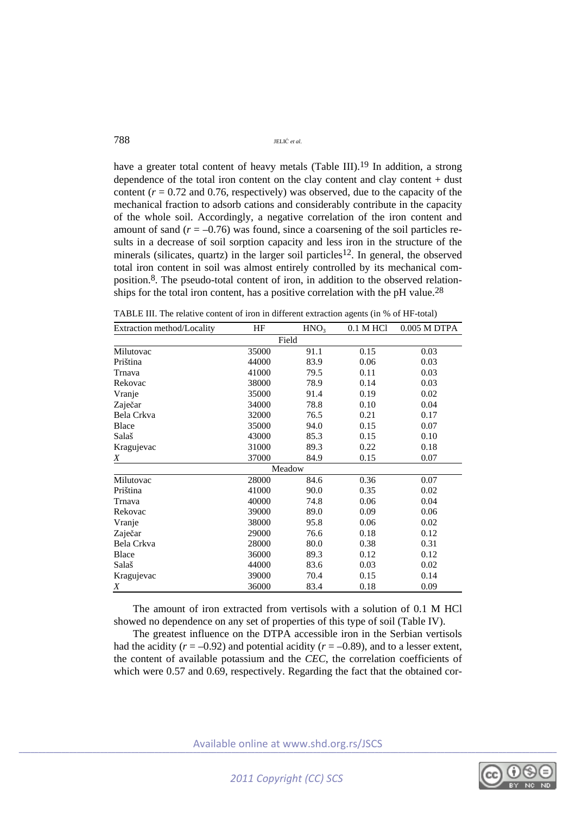have a greater total content of heavy metals (Table III).<sup>19</sup> In addition, a strong dependence of the total iron content on the clay content and clay content  $+$  dust content  $(r = 0.72$  and 0.76, respectively) was observed, due to the capacity of the mechanical fraction to adsorb cations and considerably contribute in the capacity of the whole soil. Accordingly, a negative correlation of the iron content and amount of sand  $(r = -0.76)$  was found, since a coarsening of the soil particles results in a decrease of soil sorption capacity and less iron in the structure of the minerals (silicates, quartz) in the larger soil particles<sup>12</sup>. In general, the observed total iron content in soil was almost entirely controlled by its mechanical composition.8. The pseudo-total content of iron, in addition to the observed relationships for the total iron content, has a positive correlation with the pH value.<sup>28</sup>

| Extraction method/Locality | HF    | HNO <sub>3</sub> | 0.1 M HCl | 0.005 M DTPA |  |  |  |
|----------------------------|-------|------------------|-----------|--------------|--|--|--|
| Field                      |       |                  |           |              |  |  |  |
| Milutovac                  | 35000 | 91.1             | 0.15      | 0.03         |  |  |  |
| Priština                   | 44000 | 83.9             | 0.06      | 0.03         |  |  |  |
| Trnava                     | 41000 | 79.5             | 0.11      | 0.03         |  |  |  |
| Rekovac                    | 38000 | 78.9             | 0.14      | 0.03         |  |  |  |
| Vranje                     | 35000 | 91.4             | 0.19      | 0.02         |  |  |  |
| Zaječar                    | 34000 | 78.8             | 0.10      | 0.04         |  |  |  |
| Bela Crkva                 | 32000 | 76.5             | 0.21      | 0.17         |  |  |  |
| <b>Blace</b>               | 35000 | 94.0             | 0.15      | 0.07         |  |  |  |
| Salaš                      | 43000 | 85.3             | 0.15      | 0.10         |  |  |  |
| Kragujevac                 | 31000 | 89.3             | 0.22      | 0.18         |  |  |  |
| Χ                          | 37000 | 84.9             | 0.15      | 0.07         |  |  |  |
|                            |       | Meadow           |           |              |  |  |  |
| Milutovac                  | 28000 | 84.6             | 0.36      | 0.07         |  |  |  |
| Priština                   | 41000 | 90.0             | 0.35      | 0.02         |  |  |  |
| Trnava                     | 40000 | 74.8             | 0.06      | 0.04         |  |  |  |
| Rekovac                    | 39000 | 89.0             | 0.09      | 0.06         |  |  |  |
| Vranje                     | 38000 | 95.8             | 0.06      | 0.02         |  |  |  |
| Zaječar                    | 29000 | 76.6             | 0.18      | 0.12         |  |  |  |
| Bela Crkva                 | 28000 | 80.0             | 0.38      | 0.31         |  |  |  |
| <b>Blace</b>               | 36000 | 89.3             | 0.12      | 0.12         |  |  |  |
| Salaš                      | 44000 | 83.6             | 0.03      | 0.02         |  |  |  |
| Kragujevac                 | 39000 | 70.4             | 0.15      | 0.14         |  |  |  |
| Χ                          | 36000 | 83.4             | 0.18      | 0.09         |  |  |  |

TABLE III. The relative content of iron in different extraction agents (in % of HF-total)

The amount of iron extracted from vertisols with a solution of 0.1 M HCl showed no dependence on any set of properties of this type of soil (Table IV).

The greatest influence on the DTPA accessible iron in the Serbian vertisols had the acidity  $(r = -0.92)$  and potential acidity  $(r = -0.89)$ , and to a lesser extent, the content of available potassium and the *CEC*, the correlation coefficients of which were 0.57 and 0.69, respectively. Regarding the fact that the obtained cor-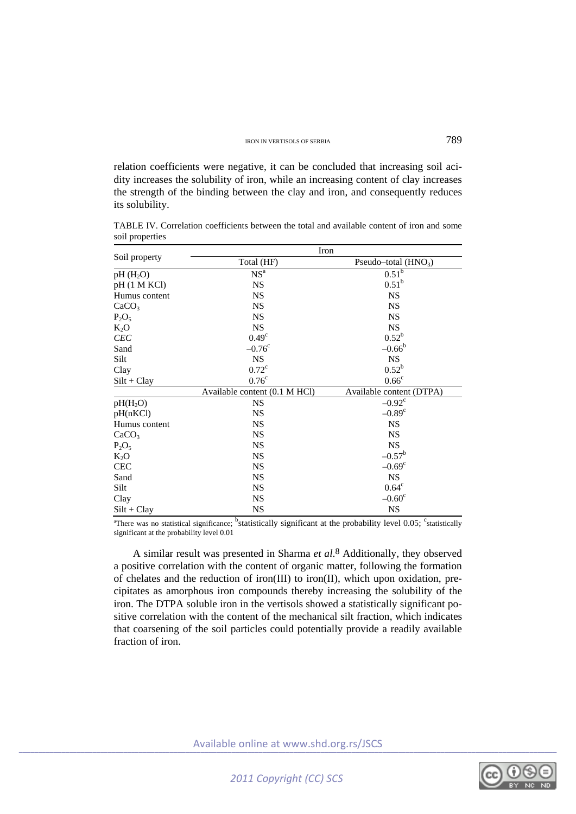relation coefficients were negative, it can be concluded that increasing soil acidity increases the solubility of iron, while an increasing content of clay increases the strength of the binding between the clay and iron, and consequently reduces its solubility.

TABLE IV. Correlation coefficients between the total and available content of iron and some soil properties

|                      | Iron                          |                          |  |  |  |  |
|----------------------|-------------------------------|--------------------------|--|--|--|--|
| Soil property        | Total (HF)                    | Pseudo-total $(HNO3)$    |  |  |  |  |
| $pH(H_2O)$           | NS <sup>a</sup>               | 0.51 <sup>b</sup>        |  |  |  |  |
| pH (1 M KCl)         | <b>NS</b>                     | $0.51^{b}$               |  |  |  |  |
| Humus content        | <b>NS</b>                     | <b>NS</b>                |  |  |  |  |
| CaCO <sub>3</sub>    | <b>NS</b>                     | <b>NS</b>                |  |  |  |  |
| $P_2O_5$             | <b>NS</b>                     | <b>NS</b>                |  |  |  |  |
| $K_2O$               | <b>NS</b>                     | <b>NS</b>                |  |  |  |  |
| <b>CEC</b>           | $0.49^\circ$                  | $0.52^b$                 |  |  |  |  |
| Sand                 | $-0.76^{\circ}$               | $-0.66^{\rm b}$          |  |  |  |  |
| Silt                 | <b>NS</b>                     | <b>NS</b>                |  |  |  |  |
| Clay                 | $0.72^{\circ}$                | $0.52^b$                 |  |  |  |  |
| $Silt + Clay$        | 0.76 <sup>c</sup>             | 0.66 <sup>c</sup>        |  |  |  |  |
|                      | Available content (0.1 M HCl) | Available content (DTPA) |  |  |  |  |
| pH(H <sub>2</sub> O) | <b>NS</b>                     | $-0.92^c$                |  |  |  |  |
| pH(nKCl)             | <b>NS</b>                     | $-0.89^{\circ}$          |  |  |  |  |
| Humus content        | <b>NS</b>                     | <b>NS</b>                |  |  |  |  |
| CaCO <sub>3</sub>    | <b>NS</b>                     | <b>NS</b>                |  |  |  |  |
| $P_2O_5$             | <b>NS</b>                     | <b>NS</b>                |  |  |  |  |
| $K_2O$               | <b>NS</b>                     | $-0.57^{\rm b}$          |  |  |  |  |
| CEC                  | <b>NS</b>                     | $-0.69^{\circ}$          |  |  |  |  |
| Sand                 | <b>NS</b>                     | <b>NS</b>                |  |  |  |  |
| Silt                 | <b>NS</b>                     | $0.64^{\circ}$           |  |  |  |  |
| Clay                 | <b>NS</b>                     | $-0.60^{\circ}$          |  |  |  |  |
| $Silt + Clay$        | <b>NS</b>                     | <b>NS</b>                |  |  |  |  |

<sup>a</sup>There was no statistical significance; <sup>b</sup>statistically significant at the probability level 0.05; <sup>c</sup>statistically significant at the probability level 0.01

A similar result was presented in Sharma *et al*. 8 Additionally, they observed a positive correlation with the content of organic matter, following the formation of chelates and the reduction of iron(III) to iron(II), which upon oxidation, precipitates as amorphous iron compounds thereby increasing the solubility of the iron. The DTPA soluble iron in the vertisols showed a statistically significant positive correlation with the content of the mechanical silt fraction, which indicates that coarsening of the soil particles could potentially provide a readily available fraction of iron

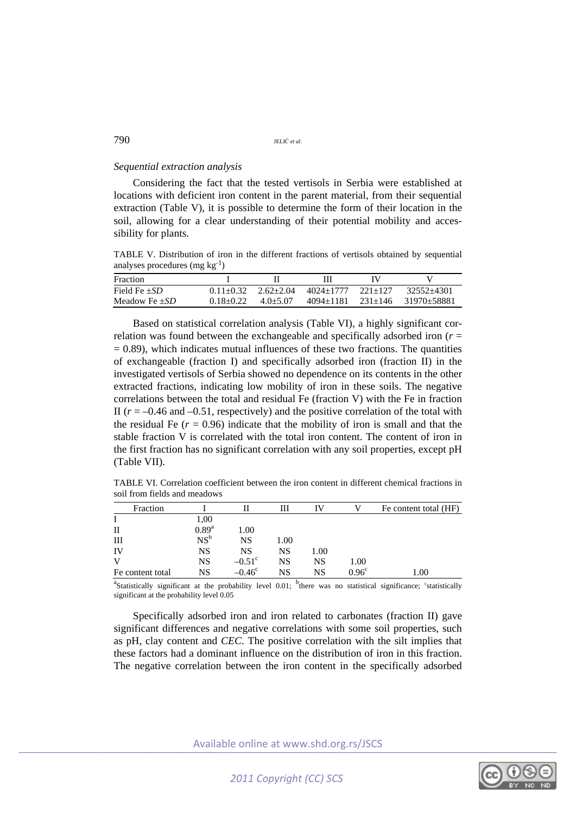## *Sequential extraction analysis*

Considering the fact that the tested vertisols in Serbia were established at locations with deficient iron content in the parent material, from their sequential extraction (Table V), it is possible to determine the form of their location in the soil, allowing for a clear understanding of their potential mobility and accessibility for plants.

TABLE V. Distribution of iron in the different fractions of vertisols obtained by sequential analyses procedures  $(mg kg^{-1})$ 

| <b>Fraction</b>    |               |               | Ш           |           |                     |
|--------------------|---------------|---------------|-------------|-----------|---------------------|
| Field Fe $\pm SD$  | $0.11 + 0.32$ | $2.62 + 2.04$ | 4024+1777   | $221+127$ | $32552 + 4301$      |
| Meadow Fe $\pm SD$ | $0.18 + 0.22$ | $4.0 + 5.07$  | $4094+1181$ |           | 231+146 31970+58881 |

Based on statistical correlation analysis (Table VI), a highly significant correlation was found between the exchangeable and specifically adsorbed iron  $(r =$  $= 0.89$ ), which indicates mutual influences of these two fractions. The quantities of exchangeable (fraction I) and specifically adsorbed iron (fraction II) in the investigated vertisols of Serbia showed no dependence on its contents in the other extracted fractions, indicating low mobility of iron in these soils. The negative correlations between the total and residual Fe (fraction V) with the Fe in fraction II ( $r = -0.46$  and  $-0.51$ , respectively) and the positive correlation of the total with the residual Fe  $(r = 0.96)$  indicate that the mobility of iron is small and that the stable fraction V is correlated with the total iron content. The content of iron in the first fraction has no significant correlation with any soil properties, except pH (Table VII).

TABLE VI. Correlation coefficient between the iron content in different chemical fractions in soil from fields and meadows

| Fraction         |            |                 | Ш         |      |                   | Fe content total (HF)                                                                                                                                |
|------------------|------------|-----------------|-----------|------|-------------------|------------------------------------------------------------------------------------------------------------------------------------------------------|
|                  |            |                 |           |      |                   |                                                                                                                                                      |
|                  | 1,00       |                 |           |      |                   |                                                                                                                                                      |
| H                | $0.89^{a}$ | 1.00            |           |      |                   |                                                                                                                                                      |
| Ш                | $NS^b$     | <b>NS</b>       | 1.00      |      |                   |                                                                                                                                                      |
| IV               | NS         | <b>NS</b>       | NS        | 1.00 |                   |                                                                                                                                                      |
| V                | NS         | $-0.51^{\circ}$ | <b>NS</b> | NS   | 1.00              |                                                                                                                                                      |
| Fe content total | NS         | $-0.46^{\circ}$ | NS        | NS   | 0.96 <sup>c</sup> | 1.00                                                                                                                                                 |
|                  |            |                 |           |      |                   | <sup>a</sup> Statistically significant at the probability level 0.01; <sup>o</sup> there was no statistical significance; <sup>c</sup> statistically |

significant at the probability level 0.05

Specifically adsorbed iron and iron related to carbonates (fraction II) gave significant differences and negative correlations with some soil properties, such as pH, clay content and *CEC*. The positive correlation with the silt implies that these factors had a dominant influence on the distribution of iron in this fraction. The negative correlation between the iron content in the specifically adsorbed

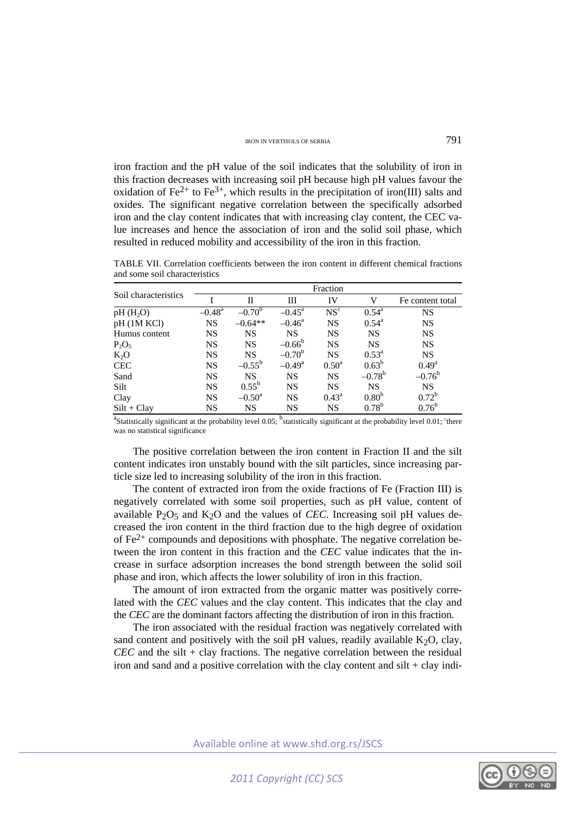iron fraction and the pH value of the soil indicates that the solubility of iron in this fraction decreases with increasing soil pH because high pH values favour the oxidation of Fe<sup>2+</sup> to Fe<sup>3+</sup>, which results in the precipitation of iron(III) salts and oxides. The significant negative correlation between the specifically adsorbed iron and the clay content indicates that with increasing clay content, the CEC value increases and hence the association of iron and the solid soil phase, which resulted in reduced mobility and accessibility of the iron in this fraction.

|                      | Fraction             |                 |                    |                   |                   |                  |  |
|----------------------|----------------------|-----------------|--------------------|-------------------|-------------------|------------------|--|
| Soil characteristics |                      | Н               | Ш                  | IV                | v                 | Fe content total |  |
| $pH(H_2O)$           | $-0.48$ <sup>a</sup> | $-0.70^{\rm b}$ | $-0.45^{\text{a}}$ | NS <sup>c</sup>   | $0.54^{\rm a}$    | <b>NS</b>        |  |
| pH (1M KCl)          | <b>NS</b>            | $-0.64**$       | $-0.46^{\circ}$    | <b>NS</b>         | $0.54^{\rm a}$    | <b>NS</b>        |  |
| Humus content        | <b>NS</b>            | <b>NS</b>       | <b>NS</b>          | <b>NS</b>         | <b>NS</b>         | <b>NS</b>        |  |
| $P_2O_5$             | <b>NS</b>            | <b>NS</b>       | $-0.66^{\rm b}$    | <b>NS</b>         | <b>NS</b>         | <b>NS</b>        |  |
| $K_2O$               | <b>NS</b>            | <b>NS</b>       | $-0.70^{\rm b}$    | <b>NS</b>         | $0.53^{\rm a}$    | <b>NS</b>        |  |
| <b>CEC</b>           | <b>NS</b>            | $-0.55^{\rm b}$ | $-0.49^{\rm a}$    | 0.50 <sup>a</sup> | $0.63^{b}$        | $0.49^{\rm a}$   |  |
| Sand                 | <b>NS</b>            | <b>NS</b>       | <b>NS</b>          | <b>NS</b>         | $-0.78^{\rm b}$   | $-0.76^{\rm b}$  |  |
| Silt                 | <b>NS</b>            | $0.55^{\rm b}$  | <b>NS</b>          | <b>NS</b>         | <b>NS</b>         | <b>NS</b>        |  |
| Clay                 | <b>NS</b>            | $-0.50^{\rm a}$ | <b>NS</b>          | $0.43^{\rm a}$    | 0.80 <sup>b</sup> | $0.72^b$         |  |
| $Silt + Clav$        | <b>NS</b>            | <b>NS</b>       | NS                 | NS                | $0.78^{b}$        | $0.76^{\rm b}$   |  |

TABLE VII. Correlation coefficients between the iron content in different chemical fractions and some soil characteristics

<sup>a</sup>Statistically significant at the probability level  $0.05$ ;  $^{b}$  statistically significant at the probability level  $0.01$ ;  $^{c}$  there was no statistical significance

The positive correlation between the iron content in Fraction II and the silt content indicates iron unstably bound with the silt particles, since increasing particle size led to increasing solubility of the iron in this fraction.

The content of extracted iron from the oxide fractions of Fe (Fraction III) is negatively correlated with some soil properties, such as pH value, content of available  $P_2O_5$  and  $K_2O$  and the values of *CEC*. Increasing soil pH values decreased the iron content in the third fraction due to the high degree of oxidation of  $Fe<sup>2+</sup>$  compounds and depositions with phosphate. The negative correlation between the iron content in this fraction and the *CEC* value indicates that the increase in surface adsorption increases the bond strength between the solid soil phase and iron, which affects the lower solubility of iron in this fraction.

The amount of iron extracted from the organic matter was positively correlated with the *CEC* values and the clay content. This indicates that the clay and the *CEC* are the dominant factors affecting the distribution of iron in this fraction.

The iron associated with the residual fraction was negatively correlated with sand content and positively with the soil pH values, readily available  $K_2O$ , clay, *CEC* and the silt + clay fractions. The negative correlation between the residual iron and sand and a positive correlation with the clay content and silt + clay indi-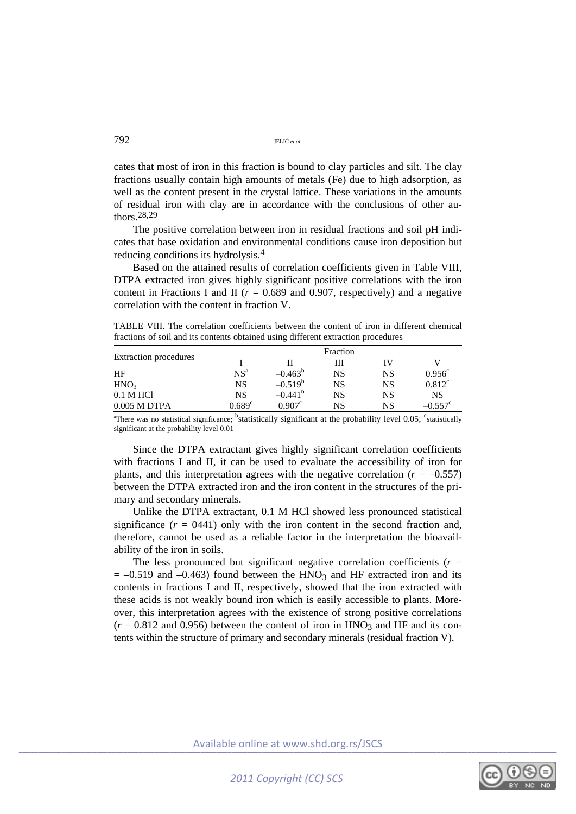cates that most of iron in this fraction is bound to clay particles and silt. The clay fractions usually contain high amounts of metals (Fe) due to high adsorption, as well as the content present in the crystal lattice. These variations in the amounts of residual iron with clay are in accordance with the conclusions of other authors.28,29

The positive correlation between iron in residual fractions and soil pH indicates that base oxidation and environmental conditions cause iron deposition but reducing conditions its hydrolysis.4

Based on the attained results of correlation coefficients given in Table VIII, DTPA extracted iron gives highly significant positive correlations with the iron content in Fractions I and II ( $r = 0.689$  and 0.907, respectively) and a negative correlation with the content in fraction V.

TABLE VIII. The correlation coefficients between the content of iron in different chemical fractions of soil and its contents obtained using different extraction procedures

|                              |                 |                  | Fraction |           |                  |
|------------------------------|-----------------|------------------|----------|-----------|------------------|
| <b>Extraction procedures</b> |                 |                  | ſП       |           |                  |
| HF                           | NS <sup>a</sup> | $-0.463^{\circ}$ | NS       | NS        | $0.956^{\circ}$  |
| HNO <sub>3</sub>             | NS              | $-0.519^{b}$     | NS       | <b>NS</b> | $0.812^{\circ}$  |
| 0.1 M HCl                    | <b>NS</b>       | $-0.441^{\circ}$ | NS       | <b>NS</b> | NS               |
| $0.005$ M DTPA               | $0.689^{\circ}$ | $0.907^{\circ}$  | NS       | NS        | $-0.557^{\circ}$ |

<sup>a</sup>There was no statistical significance; <sup>b</sup>statistically significant at the probability level 0.05; <sup>c</sup>statistically significant at the probability level 0.01

Since the DTPA extractant gives highly significant correlation coefficients with fractions I and II, it can be used to evaluate the accessibility of iron for plants, and this interpretation agrees with the negative correlation  $(r = -0.557)$ between the DTPA extracted iron and the iron content in the structures of the primary and secondary minerals.

Unlike the DTPA extractant, 0.1 M HCl showed less pronounced statistical significance  $(r = 0441)$  only with the iron content in the second fraction and, therefore, cannot be used as a reliable factor in the interpretation the bioavailability of the iron in soils.

The less pronounced but significant negative correlation coefficients ( $r =$  $= -0.519$  and  $-0.463$ ) found between the HNO<sub>3</sub> and HF extracted iron and its contents in fractions I and II, respectively, showed that the iron extracted with these acids is not weakly bound iron which is easily accessible to plants. Moreover, this interpretation agrees with the existence of strong positive correlations  $(r = 0.812$  and 0.956) between the content of iron in HNO<sub>3</sub> and HF and its contents within the structure of primary and secondary minerals (residual fraction V).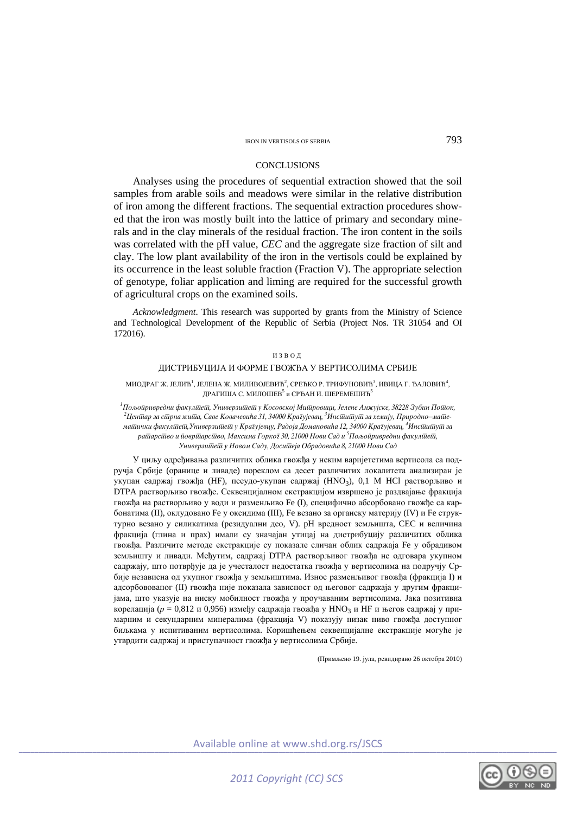## **CONCLUSIONS**

Analyses using the procedures of sequential extraction showed that the soil samples from arable soils and meadows were similar in the relative distribution of iron among the different fractions. The sequential extraction procedures showed that the iron was mostly built into the lattice of primary and secondary minerals and in the clay minerals of the residual fraction. The iron content in the soils was correlated with the pH value, *CEC* and the aggregate size fraction of silt and clay. The low plant availability of the iron in the vertisols could be explained by its occurrence in the least soluble fraction (Fraction V). The appropriate selection of genotype, foliar application and liming are required for the successful growth of agricultural crops on the examined soils.

*Acknowledgment*. This research was supported by grants from the Ministry of Science and Technological Development of the Republic of Serbia (Project Nos. TR 31054 and OI 172016).

#### ИЗВОД

## ДИСТРИБУЦИЈА И ФОРМЕ ГВОЖЂА У ВЕРТИСОЛИМА СРБИЈЕ

МИОДРАГ Ж. ЈЕЛИЋ<sup>1</sup>, ЈЕЛЕНА Ж. МИЛИВОЈЕВИЋ<sup>2</sup>, СРЕЋКО Р. ТРИФУНОВИЋ<sup>3</sup>, ИВИЦА Г. ЂАЛОВИЋ<sup>4</sup>, ДРАГИША С. МИЛОШЕВ<sup>5</sup> и СРЂАН И. ШЕРЕМЕШИЋ<sup>5</sup>

<sup>1</sup> Пољойривредни факулійей, Универзийейи у Косовској Мийровици, Јелене Анжујске, 38228 Зубин Пойюк,<br>- <sup>2</sup> Иаийар за сійрна жийа. Саве Кованасића 31. 34000 Кразујаван. <sup>3</sup> Инсійники за ханніу. Природно–найле Ценіūар за сіūрна жи*йа, Саве Ковачевића 31, 34000 Кра* $\bar{\imath}$ ујевац, <sup>3</sup>Инсіūиū́іуū за хемију, Природно–майдема<del>йички факулійей,Универзийей</del> у Кра $\bar{\imath}$ ујевцу, Радоја Домановића 12, 34000 Кра $\bar{\imath}$ ујевац,  ${}^4$ Инсійийуй за раїїарсіїво и йовріїарсіїво, Максима Горкої 30, 21000 Нови Сад и <sup>5</sup>Пољойривредни факулійеїй, *Univerzitet u Novom Sadu, Dositeja Obradovi}a 8, 21000 Novi Sad* 

У циљу одређивања различитих облика гвожђа у неким варијeтетима вертисола са подручја Србије (оранице и ливаде) пореклом са десет различитих локалитета анализиран је укупан садржај гвожђа (HF), псеудо-укупан садржај (HNO3), 0,1 M HCl растворљиво и DTPA растворљиво гвожђе. Секвенцијалном екстракцијом извршено је раздвајање фракција гвожђа на растворљиво у води и разменљиво Fe (I), специфично абсорбовано гвожђе са карбонатима (II), оклудовано Fe у оксидима (III), Fe везано за органску материју (IV) и Fe структурно везанo у силикатима (резидуални део, V). pH вредност земљишта, CEC и величина фракција (глина и прах) имали су значајан утицај на дистрибуцију различитих облика гвожђа. Различите методе екстракције су показале сличан облик садржаја Fe у обрадивом земљишту и ливади. Међутим, садржај DTPA растворљивог гвожђа не одговара укупном садржају, што потврђује да је учесталост недостатка гвожђа у вертисолима на подручју Србије независна од укупног гвожђа у земљиштима. Износ разменљивог гвожђа (фракција I) и адсорбовованог (II) гвожђа није показала зависност од његовог садржаја у другим фракцијама, што указује на ниску мобилност гвожђа у проучаваним вертисолима. Јака позитивна корелација (*р* = 0,812 и 0,956) између садржаја гвожђа у HNO3 и HF и његов садржај у примарним и секундарним минералима (фракција V) показују низак ниво гвожђа доступног биљкама у испитиваним вертисолима. Коришћењем секвенцијалне екстракције могуће је утврдити садржај и приступачност гвожђа у вертисолима Србије.

(Примљено 19. јула, ревидирано 26 октобра 2010)